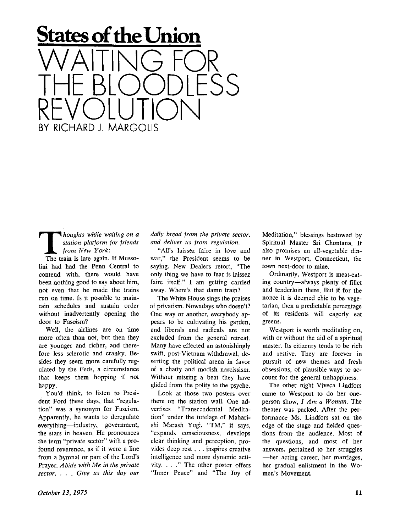## **States of the Union**  WAITING FOR THE BLOODLESS REVOLUTION

*houghts while waiting on a station platform jor friends from New York:* 

BY RICHARD J. MARGOLIS

The train is late again. If Mussolini had had the Penn Central to contend with, there would have been nothing good to say about him, not even that he made the trains run on time. Is it possible to maintain schedules and sustain order without inadvertently opening the door to Fascism?

Well, the airlines are on time more often than not, but then they are younger and richer, and therefore less sclerotic and cranky. Besides they seem more carefully regulated by the Feds, a circumstance that keeps them hopping if not happy.

You'd think, to listen to President Ford these days, that "regulation" was a synonym for Fascism. Apparently, he wants to deregulate everything—industry, government, the stars in heaven. He pronounces the term "private sector" with a profound reverence, as if it were a line from a hymnal or part of the Lord's Prayer. *A bide with Me in the private sector. . . . Give us this day our* 

*daily bread from the private sector, and deliver us from regulation.* 

"All's laissez faire in love and war," the President seems to be saying. New Dealers retort, "The only thing we have to fear is laissez faire itself." I am getting carried away. Where's that damn train?

The White House sings the praises of privatism. Nowadays who doesn't? One way or another, everybody appears to be cultivating his garden, and liberals and radicals are not excluded from the general retreat. Many have effected an astonishingly swift, post-Vietnam withdrawal, deserting the political arena in favor of a chatty and modish narcissism. Without missing a beat they have glided from the polity to the psyche.

Look at those two posters over there on the station wall. One advertises "Transcendental Meditation" under the tutelage of Maharishi Marash Yogi. "TM," it says, "expands consciousness, develops clear thinking and perception, provides deep rest . . . inspires creative intelligence and more dynamic activity. . . ." The other poster offers "Inner Peace" and "The Joy of Meditation," blessings bestowed by Spiritual Master Sri Chontana. It also promises an all-vegetable dinner in Westport, Connecticut, the town next-door to mine.

Ordinarily, Westport is meat-eating country—always plenty of fillet and tenderloin there. But if for the nonce it is deemed chic to be vegetarian, then a predictable percentage of its residents will eagerly eat greens.

Westport is worth meditating on, with or without the aid of a spiritual master. Its citizenry tends to be rich and restive. They are forever in pursuit of new themes and fresh obsessions, of plausible ways to account for the general unhappiness.

The other night Viveca Lindfors came to Westport to do her oneperson show, / *Am a Woman.* The theater was packed. After the performance Ms. Lindfors sat on the edge of the stage and fielded questions from the audience. Most of the questions, and most of her answers, pertained to her struggles —her acting career, her marriages, her gradual enlistment in the Women's Movement.